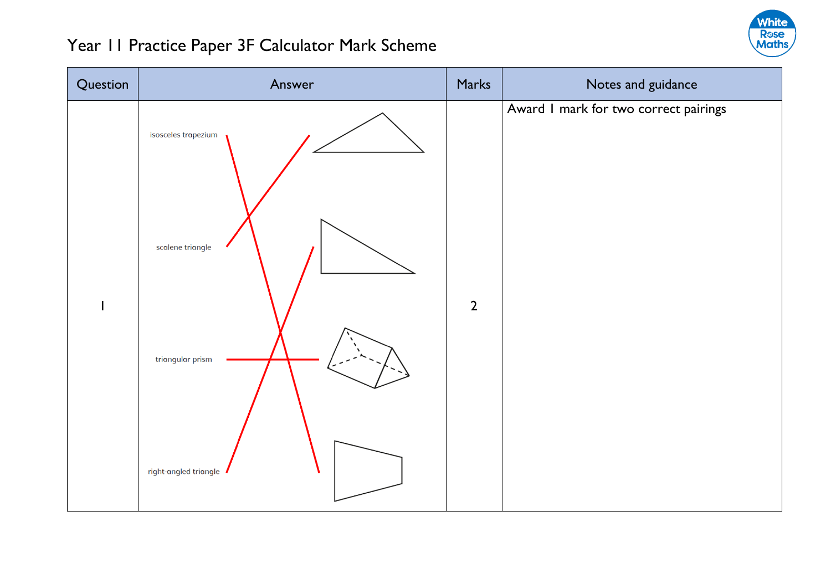

| Question | Answer                                                                               | Marks          | Notes and guidance                    |
|----------|--------------------------------------------------------------------------------------|----------------|---------------------------------------|
| I        | isosceles trapezium<br>scalene triangle<br>triangular prism<br>right-angled triangle | $\overline{2}$ | Award I mark for two correct pairings |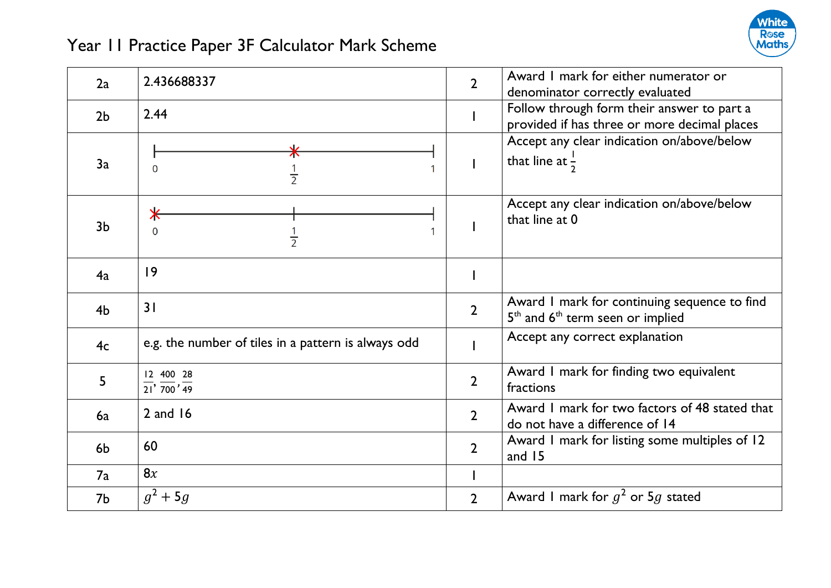

| 2a             | 2.436688337                                                         | $\overline{2}$ | Award I mark for either numerator or<br>denominator correctly evaluated                    |
|----------------|---------------------------------------------------------------------|----------------|--------------------------------------------------------------------------------------------|
| 2 <sub>b</sub> | 2.44                                                                |                | Follow through form their answer to part a<br>provided if has three or more decimal places |
| 3a             | 0<br>$\frac{1}{2}$                                                  |                | Accept any clear indication on/above/below<br>that line at $\frac{1}{2}$                   |
| 3 <sub>b</sub> | ⋇<br>0<br>$\frac{1}{2}$                                             |                | Accept any clear indication on/above/below<br>that line at 0                               |
| 4a             | 9                                                                   |                |                                                                                            |
| 4 <sub>b</sub> | 31                                                                  | $\overline{2}$ | Award I mark for continuing sequence to find<br>$5th$ and $6th$ term seen or implied       |
| 4 <sub>c</sub> | e.g. the number of tiles in a pattern is always odd                 |                | Accept any correct explanation                                                             |
| 5              | 12 400 28<br>$\overline{21'}$ , $\overline{700'}$ , $\overline{49}$ | $\overline{2}$ | Award I mark for finding two equivalent<br>fractions                                       |
| 6a             | $2$ and $16$                                                        | $\overline{2}$ | Award I mark for two factors of 48 stated that<br>do not have a difference of 14           |
| 6 <sub>b</sub> | 60                                                                  | $\overline{2}$ | Award I mark for listing some multiples of 12<br>and $15$                                  |
| 7a             | 8x                                                                  |                |                                                                                            |
| 7b             | $g^2 + 5g$                                                          | $\overline{2}$ | Award I mark for $g^2$ or 5g stated                                                        |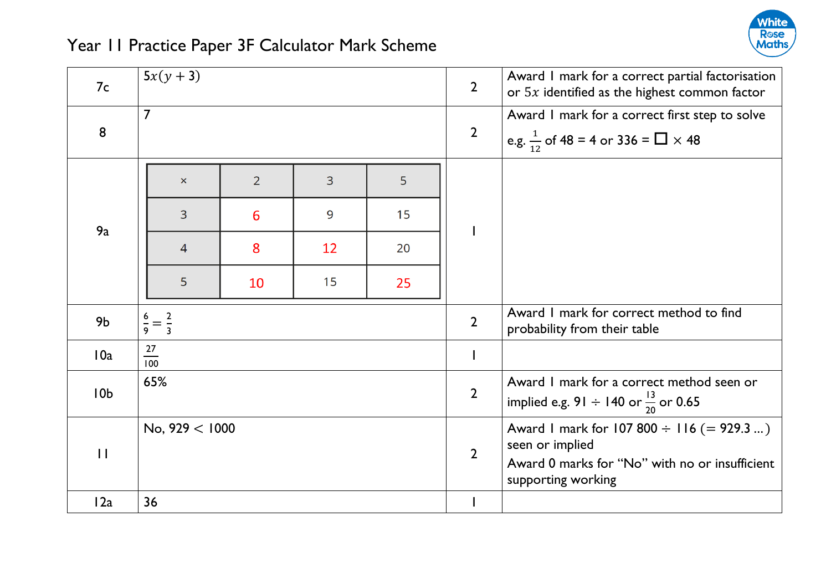

| 7c              | $5x(y + 3)$                 |                |                |    | $\overline{2}$ | Award I mark for a correct partial factorisation<br>or $5x$ identified as the highest common factor |
|-----------------|-----------------------------|----------------|----------------|----|----------------|-----------------------------------------------------------------------------------------------------|
| 8               | $\overline{7}$              |                |                |    | $\overline{2}$ | Award I mark for a correct first step to solve                                                      |
|                 |                             |                |                |    |                | e.g. $\frac{1}{12}$ of 48 = 4 or 336 = $\Box \times 48$                                             |
| 9a              | $\boldsymbol{\times}$       | $\overline{2}$ | $\overline{3}$ | 5  |                |                                                                                                     |
|                 | $\overline{3}$              | 6              | 9              | 15 |                |                                                                                                     |
|                 | $\overline{4}$              | 8              | 12             | 20 |                |                                                                                                     |
|                 | 5                           | 10             | 15             | 25 |                |                                                                                                     |
| 9 <sub>b</sub>  | $\frac{6}{9} = \frac{2}{3}$ |                |                |    | $\overline{2}$ | Award I mark for correct method to find<br>probability from their table                             |
| 10a             | 27<br>100                   |                |                |    | I              |                                                                                                     |
| 10 <sub>b</sub> | 65%                         |                |                |    | $\overline{2}$ | Award I mark for a correct method seen or<br>implied e.g. 91 $\div$ 140 or $\frac{13}{20}$ or 0.65  |
| $\mathbf{H}$    | No, $929 < 1000$            |                |                |    | $\overline{2}$ | Award I mark for 107 800 $\div$ 116 (= 929.3 )<br>seen or implied                                   |
|                 |                             |                |                |    |                | Award 0 marks for "No" with no or insufficient<br>supporting working                                |
| 12a             | 36                          |                |                |    |                |                                                                                                     |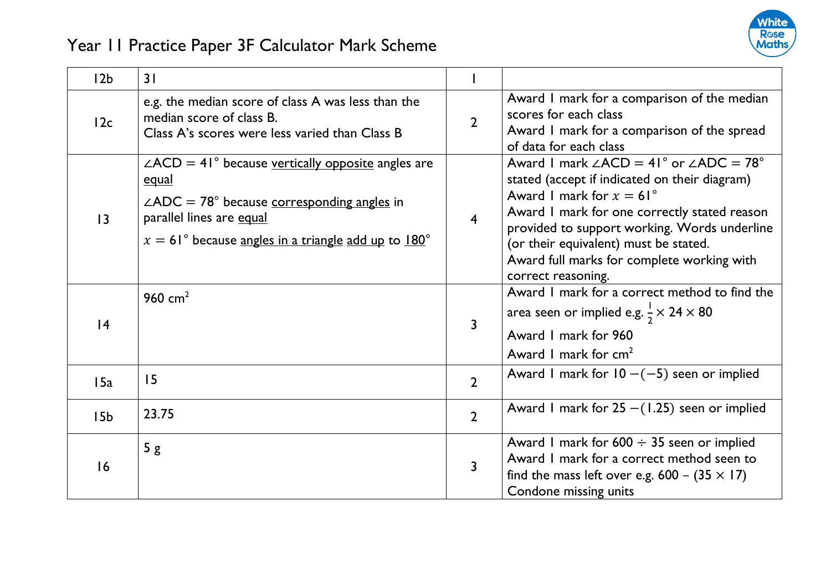

| 12 <sub>b</sub> | 31                                                                                                                                                                                                                                      |                |                                                                                                                                                                                                                                                                                                                                                                  |
|-----------------|-----------------------------------------------------------------------------------------------------------------------------------------------------------------------------------------------------------------------------------------|----------------|------------------------------------------------------------------------------------------------------------------------------------------------------------------------------------------------------------------------------------------------------------------------------------------------------------------------------------------------------------------|
| 12c             | e.g. the median score of class A was less than the<br>median score of class B.<br>Class A's scores were less varied than Class B                                                                                                        | $\overline{2}$ | Award I mark for a comparison of the median<br>scores for each class<br>Award I mark for a comparison of the spread<br>of data for each class                                                                                                                                                                                                                    |
| $\overline{13}$ | $\angle ACD = 41^\circ$ because vertically opposite angles are<br><u>equal</u><br>$\angle ADC = 78^{\circ}$ because corresponding angles in<br>parallel lines are equal<br>$x = 61^{\circ}$ because angles in a triangle add up to 180° | $\overline{4}$ | Award 1 mark $\angle ACD = 41^\circ$ or $\angle ADC = 78^\circ$<br>stated (accept if indicated on their diagram)<br>Award 1 mark for $x = 61^\circ$<br>Award I mark for one correctly stated reason<br>provided to support working. Words underline<br>(or their equivalent) must be stated.<br>Award full marks for complete working with<br>correct reasoning. |
| 4               | 960 $cm2$                                                                                                                                                                                                                               | 3              | Award I mark for a correct method to find the<br>area seen or implied e.g. $\frac{1}{2} \times 24 \times 80$<br>Award I mark for 960<br>Award 1 mark for $cm2$                                                                                                                                                                                                   |
| 15a             | 15                                                                                                                                                                                                                                      | $\overline{2}$ | Award I mark for $10 - (-5)$ seen or implied                                                                                                                                                                                                                                                                                                                     |
| 15 <sub>b</sub> | 23.75                                                                                                                                                                                                                                   | $\overline{2}$ | Award 1 mark for $25 - (1.25)$ seen or implied                                                                                                                                                                                                                                                                                                                   |
| 16              | 5g                                                                                                                                                                                                                                      | 3              | Award I mark for $600 \div 35$ seen or implied<br>Award I mark for a correct method seen to<br>find the mass left over e.g. $600 - (35 \times 17)$<br>Condone missing units                                                                                                                                                                                      |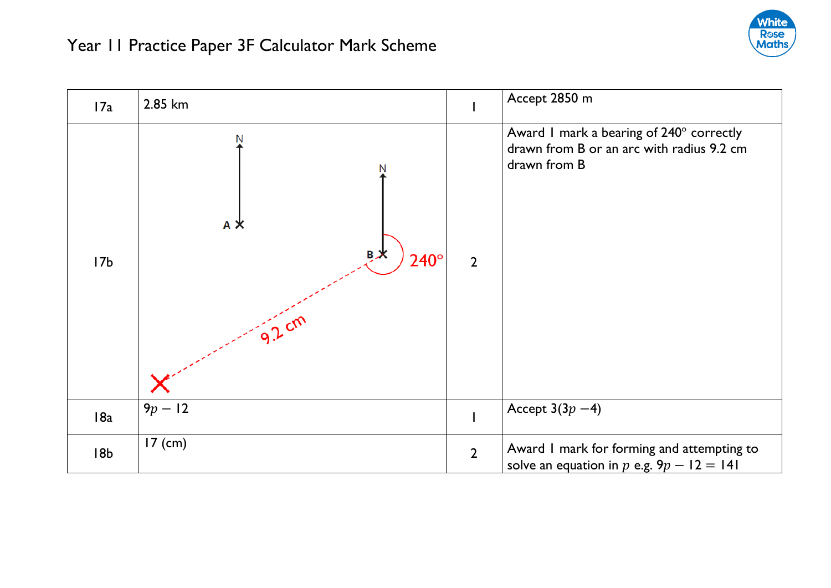

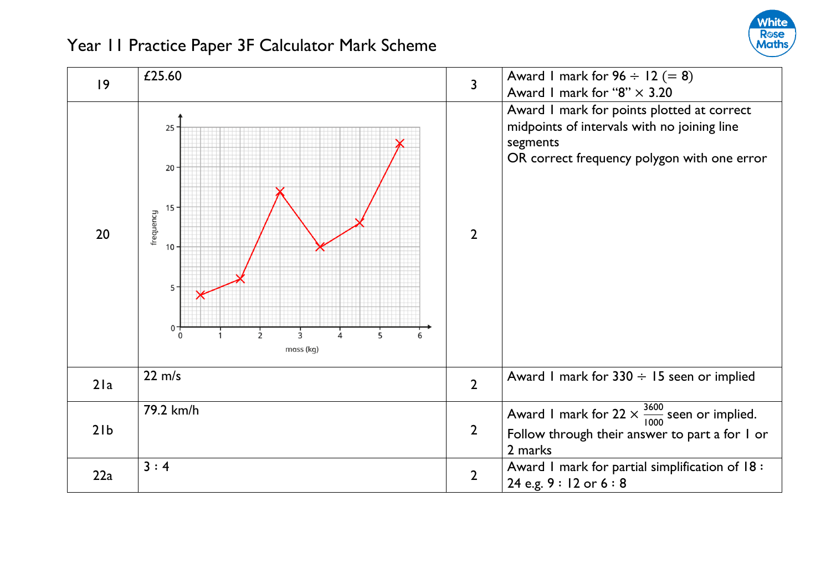